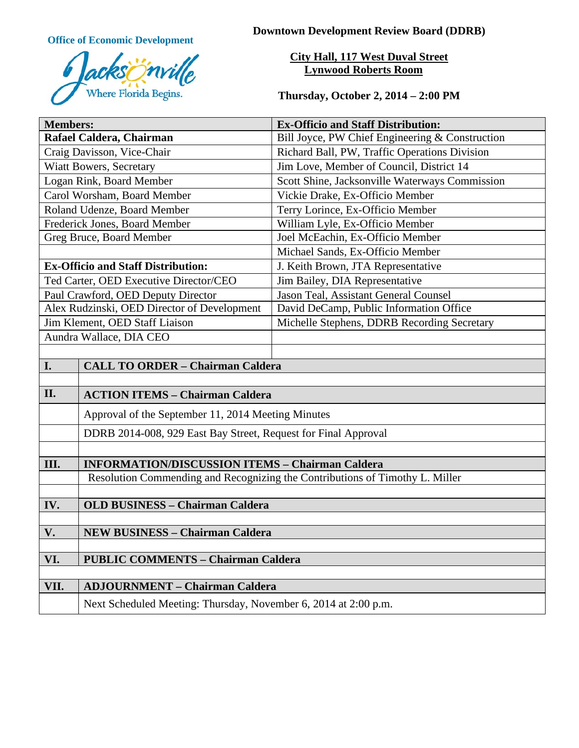

**Office of Economic Development Downtown Development Review Board (DDRB)** 

# **City Hall, 117 West Duval Street Lynwood Roberts Room**

**Thursday, October 2, 2014 – 2:00 PM**

| <b>Members:</b>                             |                                                                              | <b>Ex-Officio and Staff Distribution:</b>       |
|---------------------------------------------|------------------------------------------------------------------------------|-------------------------------------------------|
| Rafael Caldera, Chairman                    |                                                                              | Bill Joyce, PW Chief Engineering & Construction |
| Craig Davisson, Vice-Chair                  |                                                                              | Richard Ball, PW, Traffic Operations Division   |
| <b>Wiatt Bowers, Secretary</b>              |                                                                              | Jim Love, Member of Council, District 14        |
| Logan Rink, Board Member                    |                                                                              | Scott Shine, Jacksonville Waterways Commission  |
| Carol Worsham, Board Member                 |                                                                              | Vickie Drake, Ex-Officio Member                 |
| Roland Udenze, Board Member                 |                                                                              | Terry Lorince, Ex-Officio Member                |
| Frederick Jones, Board Member               |                                                                              | William Lyle, Ex-Officio Member                 |
| Greg Bruce, Board Member                    |                                                                              | Joel McEachin, Ex-Officio Member                |
|                                             |                                                                              | Michael Sands, Ex-Officio Member                |
| <b>Ex-Officio and Staff Distribution:</b>   |                                                                              | J. Keith Brown, JTA Representative              |
| Ted Carter, OED Executive Director/CEO      |                                                                              | Jim Bailey, DIA Representative                  |
| Paul Crawford, OED Deputy Director          |                                                                              | Jason Teal, Assistant General Counsel           |
| Alex Rudzinski, OED Director of Development |                                                                              | David DeCamp, Public Information Office         |
| Jim Klement, OED Staff Liaison              |                                                                              | Michelle Stephens, DDRB Recording Secretary     |
| Aundra Wallace, DIA CEO                     |                                                                              |                                                 |
|                                             |                                                                              |                                                 |
| I.                                          | <b>CALL TO ORDER - Chairman Caldera</b>                                      |                                                 |
|                                             |                                                                              |                                                 |
| II.                                         | <b>ACTION ITEMS - Chairman Caldera</b>                                       |                                                 |
|                                             | Approval of the September 11, 2014 Meeting Minutes                           |                                                 |
|                                             | DDRB 2014-008, 929 East Bay Street, Request for Final Approval               |                                                 |
|                                             |                                                                              |                                                 |
| III.                                        | <b>INFORMATION/DISCUSSION ITEMS - Chairman Caldera</b>                       |                                                 |
|                                             | Resolution Commending and Recognizing the Contributions of Timothy L. Miller |                                                 |
|                                             |                                                                              |                                                 |
| IV.                                         | <b>OLD BUSINESS - Chairman Caldera</b>                                       |                                                 |
|                                             |                                                                              |                                                 |
| V.                                          | <b>NEW BUSINESS - Chairman Caldera</b>                                       |                                                 |
| VI.                                         | <b>PUBLIC COMMENTS - Chairman Caldera</b>                                    |                                                 |
|                                             |                                                                              |                                                 |
| <b>ADJOURNMENT - Chairman Caldera</b>       |                                                                              |                                                 |
| VII.                                        |                                                                              |                                                 |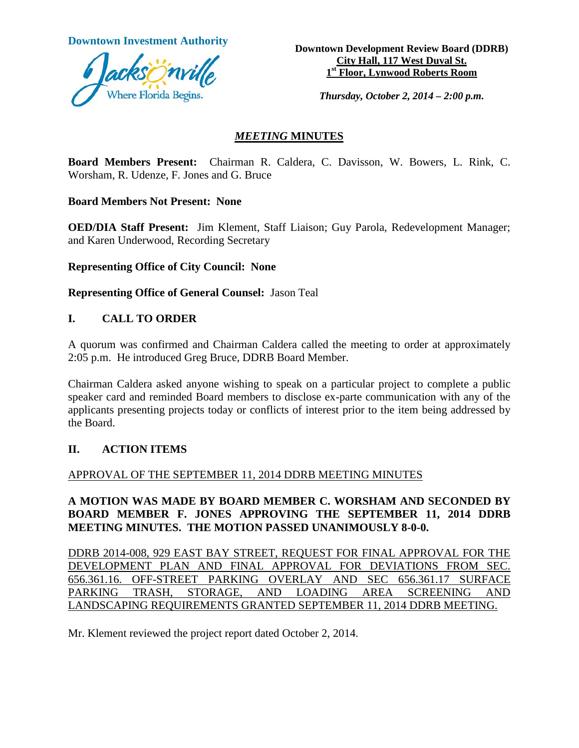

**Downtown Investment Authority Downtown Development Review Board (DDRB) City Hall, 117 West Duval St. 1st Floor, Lynwood Roberts Room**

*Thursday, October 2, 2014 – 2:00 p.m.*

## *MEETING* **MINUTES**

**Board Members Present:** Chairman R. Caldera, C. Davisson, W. Bowers, L. Rink, C. Worsham, R. Udenze, F. Jones and G. Bruce

**Board Members Not Present: None**

**OED/DIA Staff Present:** Jim Klement, Staff Liaison; Guy Parola, Redevelopment Manager; and Karen Underwood, Recording Secretary

**Representing Office of City Council: None**

**Representing Office of General Counsel:** Jason Teal

## **I. CALL TO ORDER**

A quorum was confirmed and Chairman Caldera called the meeting to order at approximately 2:05 p.m. He introduced Greg Bruce, DDRB Board Member.

Chairman Caldera asked anyone wishing to speak on a particular project to complete a public speaker card and reminded Board members to disclose ex-parte communication with any of the applicants presenting projects today or conflicts of interest prior to the item being addressed by the Board.

#### **II. ACTION ITEMS**

# APPROVAL OF THE SEPTEMBER 11, 2014 DDRB MEETING MINUTES

## **A MOTION WAS MADE BY BOARD MEMBER C. WORSHAM AND SECONDED BY BOARD MEMBER F. JONES APPROVING THE SEPTEMBER 11, 2014 DDRB MEETING MINUTES. THE MOTION PASSED UNANIMOUSLY 8-0-0.**

DDRB 2014-008, 929 EAST BAY STREET, REQUEST FOR FINAL APPROVAL FOR THE DEVELOPMENT PLAN AND FINAL APPROVAL FOR DEVIATIONS FROM SEC. 656.361.16. OFF-STREET PARKING OVERLAY AND SEC 656.361.17 SURFACE PARKING TRASH, STORAGE, AND LOADING AREA SCREENING AND LANDSCAPING REQUIREMENTS GRANTED SEPTEMBER 11, 2014 DDRB MEETING.

Mr. Klement reviewed the project report dated October 2, 2014.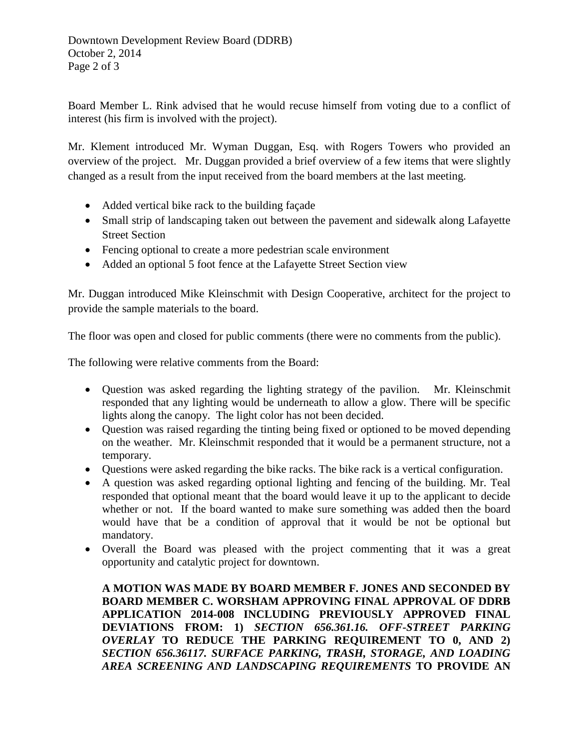Board Member L. Rink advised that he would recuse himself from voting due to a conflict of interest (his firm is involved with the project).

Mr. Klement introduced Mr. Wyman Duggan, Esq. with Rogers Towers who provided an overview of the project. Mr. Duggan provided a brief overview of a few items that were slightly changed as a result from the input received from the board members at the last meeting.

- Added vertical bike rack to the building façade
- Small strip of landscaping taken out between the pavement and sidewalk along Lafayette Street Section
- Fencing optional to create a more pedestrian scale environment
- Added an optional 5 foot fence at the Lafayette Street Section view

Mr. Duggan introduced Mike Kleinschmit with Design Cooperative, architect for the project to provide the sample materials to the board.

The floor was open and closed for public comments (there were no comments from the public).

The following were relative comments from the Board:

- Question was asked regarding the lighting strategy of the pavilion. Mr. Kleinschmit responded that any lighting would be underneath to allow a glow. There will be specific lights along the canopy. The light color has not been decided.
- Question was raised regarding the tinting being fixed or optioned to be moved depending on the weather. Mr. Kleinschmit responded that it would be a permanent structure, not a temporary.
- Questions were asked regarding the bike racks. The bike rack is a vertical configuration.
- A question was asked regarding optional lighting and fencing of the building. Mr. Teal responded that optional meant that the board would leave it up to the applicant to decide whether or not. If the board wanted to make sure something was added then the board would have that be a condition of approval that it would be not be optional but mandatory.
- Overall the Board was pleased with the project commenting that it was a great opportunity and catalytic project for downtown.

**A MOTION WAS MADE BY BOARD MEMBER F. JONES AND SECONDED BY BOARD MEMBER C. WORSHAM APPROVING FINAL APPROVAL OF DDRB APPLICATION 2014-008 INCLUDING PREVIOUSLY APPROVED FINAL DEVIATIONS FROM: 1)** *SECTION 656.361.16. OFF-STREET PARKING OVERLAY* **TO REDUCE THE PARKING REQUIREMENT TO 0, AND 2)**  *SECTION 656.36117. SURFACE PARKING, TRASH, STORAGE, AND LOADING AREA SCREENING AND LANDSCAPING REQUIREMENTS* **TO PROVIDE AN**